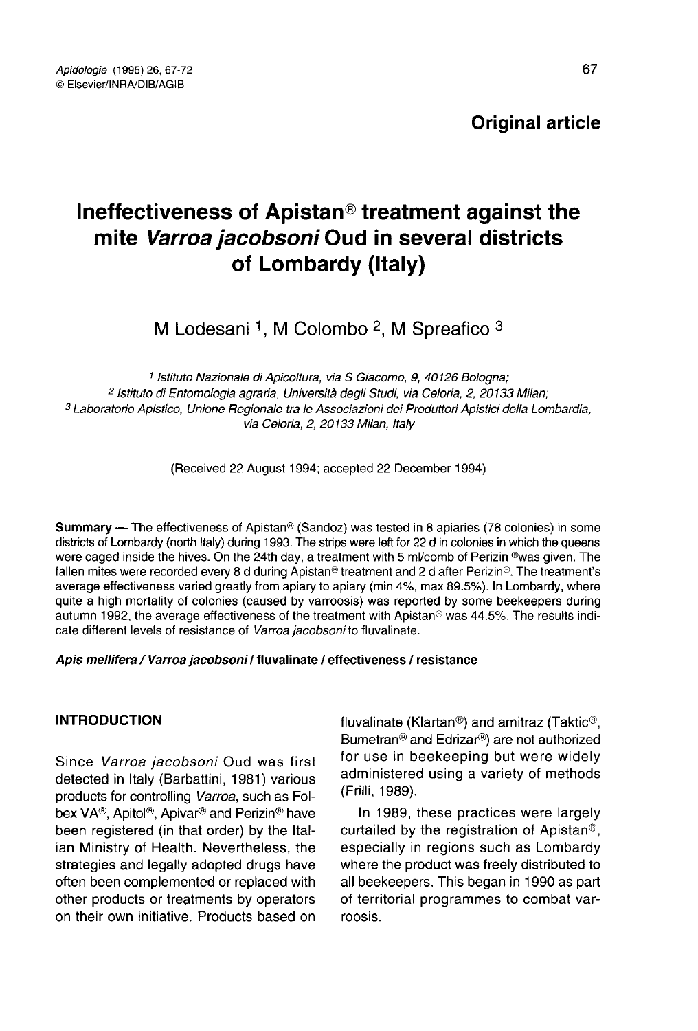# Original article

# Ineffectiveness of Apistan® treatment against the mite Varroa jacobsoni Oud in several districts of Lombardy (Italy)

M Lodesani <sup>1</sup>, M Colombo <sup>2</sup>, M Spreafico  $3$ 

1 Istituto Nazionale di Apicoltura, via S Giacomo, 9, 40126 Bologna;<br>2 Istituto di Entomologia agraria, Università degli Studi, via Celoria, 2, 20133 Milan; <sup>3</sup> Laboratorio Apistico, Unione Regionale tra le Associazioni dei Produttori Apistici della Lombardia, via Celoria, 2, 20133 Milan, Italy

(Received 22 August 1994; accepted 22 December 1994)

**Summary —** The effectiveness of Apistan<sup>®</sup> (Sandoz) was tested in 8 apiaries (78 colonies) in some districts of Lombardy (north Italy) during 1993. The strips were left for 22 d in colonies in which the queens were caged inside the hives. On the 24th day, a treatment with 5 ml/comb of Perizin ®was given. The fallen mites were recorded every 8 d during Apistan® treatment and 2 d after Perizin®. The treatment's average effectiveness varied greatly from apiary to apiary (min 4%, max 89.5%). In Lombardy, where quite a high mortality of colonies (caused by varroosis) was reported by some beekeepers during autumn 1992, the average effectiveness of the treatment with Apistan® was 44.5%. The results indicate different levels of resistance of Varroa jacobsoni to fluvalinate.

#### Apis mellifera / Varroa jacobsoni / fluvalinate / effectiveness / resistance

# INTRODUCTION

Since Varroa jacobsoni Oud was first detected in Italy (Barbattini, 1981) various products for controlling Varroa, such as Folbex VA®, Apitol®, Apivar® and Perizin® have been registered (in that order) by the Italian Ministry of Health. Nevertheless, the strategies and legally adopted drugs have often been complemented or replaced with other products or treatments by operators on their own initiative. Products based on fluvalinate (Klartan®) and amitraz (Taktic®, Bumetran® and Edrizar®) are not authorized for use in beekeeping but were widely administered using a variety of methods (Frilli, 1989).

In 1989, these practices were largely curtailed by the registration of Apistan®, especially in regions such as Lombardy where the product was freely distributed to all beekeepers. This began in 1990 as part of territorial programmes to combat varroosis.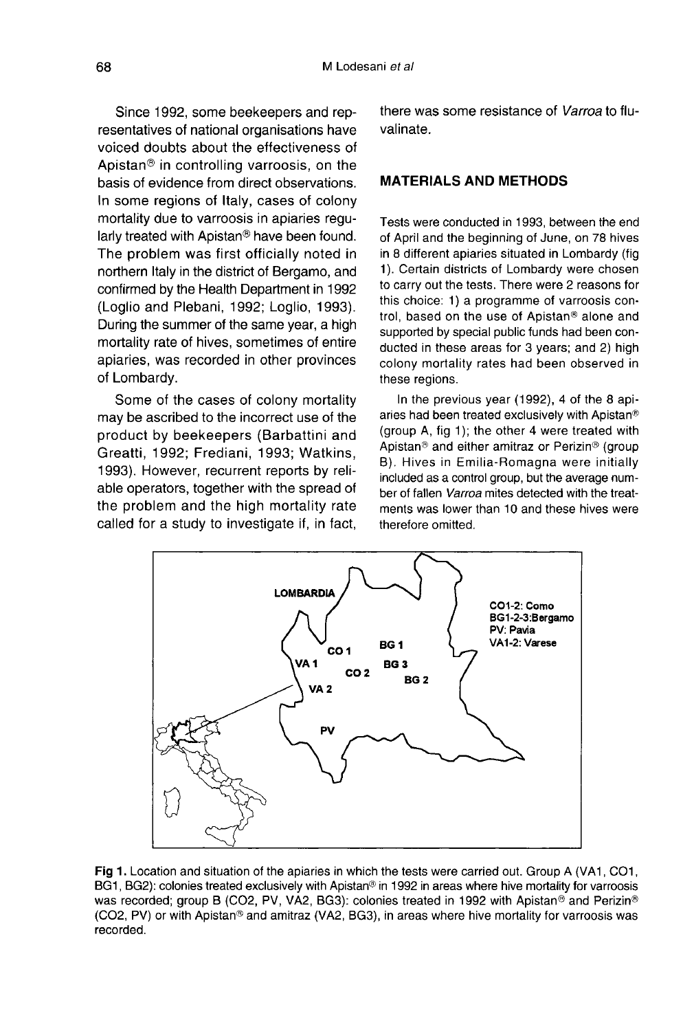Since 1992, some beekeepers and representatives of national organisations have voiced doubts about the effectiveness of Apistan® in controlling varroosis, on the basis of evidence from direct observations. In some regions of Italy, cases of colony mortality due to varroosis in apiaries regularly treated with Apistan® have been found. The problem was first officially noted in northern Italy in the district of Bergamo, and confirmed by the Health Department in 1992 (Loglio and Plebani, 1992; Loglio, 1993). During the summer of the same year, a high mortality rate of hives, sometimes of entire apiaries, was recorded in other provinces of Lombardy.

Some of the cases of colony mortality may be ascribed to the incorrect use of the product by beekeepers (Barbattini and Greatti, 1992; Frediani, 1993; Watkins, 1993). However, recurrent reports by reliable operators, together with the spread of the problem and the high mortality rate called for a study to investigate if, in fact, there was some resistance of Varroa to fluvalinate.

# MATERIALS AND METHODS

Tests were conducted in 1993, between the end of April and the beginning of June, on 78 hives in 8 different apiaries situated in Lombardy (fig 1). Certain districts of Lombardy were chosen to carry out the tests. There were 2 reasons for this choice: 1) a programme of varroosis control, based on the use of Apistan® alone and supported by special public funds had been conducted in these areas for 3 years; and 2) high colony mortality rates had been observed in these regions.

In the previous year (1992), 4 of the 8 apiaries had been treated exclusively with Apistan® (group A, fig 1); the other 4 were treated with Apistan® and either amitraz or Perizin® (group B). Hives in Emilia-Romagna were initially included as a control group, but the average number of fallen Varroa mites detected with the treatments was lower than 10 and these hives were therefore omitted.



Fig 1. Location and situation of the apiaries in which the tests were carried out. Group A (VA1, CO1, BG1, BG2): colonies treated exclusively with Apistan® in 1992 in areas where hive mortality for varroosis was recorded; group B (CO2, PV, VA2, BG3): colonies treated in 1992 with Apistan® and Perizin® (CO2, PV) or with Apistan® and amitraz (VA2, BG3), in areas where hive mortality for varroosis was recorded.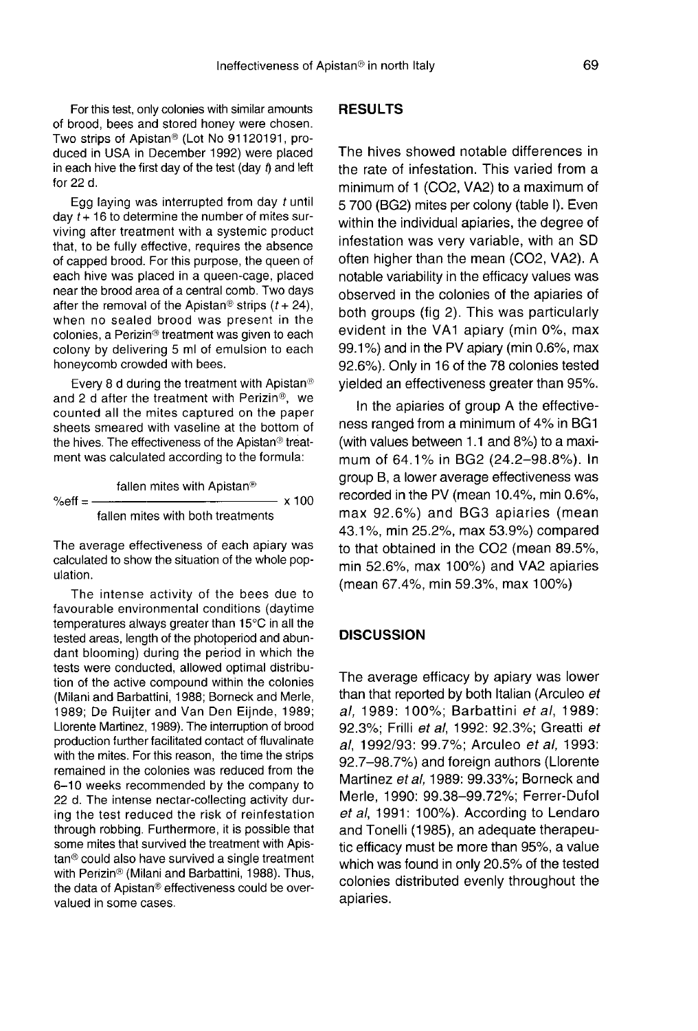For this test, only colonies with similar amounts of brood, bees and stored honey were chosen. Two strips of Apistan® (Lot No 91120191, produced in USA in December 1992) were placed in each hive the first day of the test (day  $t$ ) and left for 22 d.

Egg laying was interrupted from day  $t$  until day  $t + 16$  to determine the number of mites surviving after treatment with a systemic product that, to be fully effective, requires the absence of capped brood. For this purpose, the queen of each hive was placed in a queen-cage, placed near the brood area of a central comb. Two days after the removal of the Apistan<sup>®</sup> strips  $(t + 24)$ , when no sealed brood was present in the colonies, a Perizin® treatment was given to each colony by delivering 5 ml of emulsion to each honeycomb crowded with bees.

Every 8 d during the treatment with Apistan® and 2 d after the treatment with Perizin®, we counted all the mites captured on the paper sheets smeared with vaseline at the bottom of the hives. The effectiveness of the Apistan® treatment was calculated according to the formula:

fallen mites with Apistan® %eff =  $- x 100$ fallen mites with both treatments

The average effectiveness of each apiary was calculated to show the situation of the whole population.

The intense activity of the bees due to favourable environmental conditions (daytime temperatures always greater than 15°C in all the tested areas, length of the photoperiod and abundant blooming) during the period in which the tests were conducted, allowed optimal distribution of the active compound within the colonies (Milani and Barbattini, 1988; Borneck and Merle, 1989; De Ruijter and Van Den Eijnde, 1989; Llorente Martinez, 1989). The interruption of brood production further facilitated contact of fluvalinate with the mites. For this reason, the time the strips remained in the colonies was reduced from the 6-10 weeks recommended by the company to 22 d. The intense nectar-collecting activity during the test reduced the risk of reinfestation through robbing. Furthermore, it is possible that some mites that survived the treatment with Apistan® could also have survived a single treatment with Perizin® (Milani and Barbattini, 1988). Thus, the data of Apistan® effectiveness could be overvalued in some cases.

# **RESULTS**

The hives showed notable differences in the rate of infestation. This varied from a minimum of 1 (CO2, VA2) to a maximum of 5 700 (BG2) mites per colony (table I). Even within the individual apiaries, the degree of infestation was very variable, with an SD often higher than the mean (CO2, VA2). A notable variability in the efficacy values was observed in the colonies of the apiaries of both groups (fig 2). This was particularly evident in the VA1 apiary (min 0%, max 99.1%) and in the PV apiary (min 0.6%, max 92.6%). Only in 16 of the 78 colonies tested yielded an effectiveness greater than 95%.

In the apiaries of group A the effectiveness ranged from a minimum of 4% in BG1 (with values between 1.1 and 8%) to a maximum of 64.1% in BG2 (24.2-98.8%). In group B, a lower average effectiveness was recorded in the PV (mean 10.4%, min 0.6%, max 92.6%) and BG3 apiaries (mean 43.1 %, min 25.2%, max 53.9%) compared to that obtained in the CO2 (mean 89.5%, min 52.6%, max 100%) and VA2 apiaries (mean 67.4%, min 59.3%, max 100%)

# **DISCUSSION**

The average efficacy by apiary was lower than that reported by both Italian (Arculeo et al, 1989: 100%; Barbattini et al, 1989: 92.3%; Frilli et al, 1992: 92.3%; Greatti et al, 1992/93: 99.7%; Arculeo et al, 1993: 92.7-98.7%) and foreign authors (Llorente Martinez et al, 1989: 99.33%; Borneck and Merle, 1990: 99.38-99.72%; Ferrer-Dufol et al, 1991: 100%). According to Lendaro and Tonelli (1985), an adequate therapeutic efficacy must be more than 95%, a value which was found in only 20.5% of the tested colonies distributed evenly throughout the apiaries.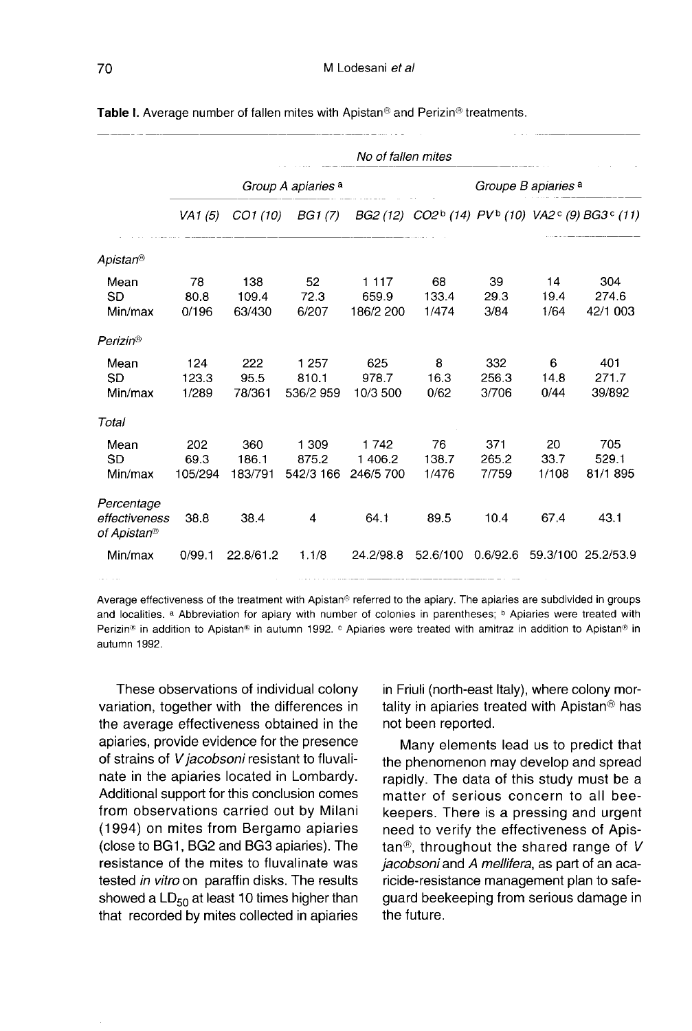|                                            | No of fallen mites            |                         |                               |                               |                                                                                                |                       |                     |                          |
|--------------------------------------------|-------------------------------|-------------------------|-------------------------------|-------------------------------|------------------------------------------------------------------------------------------------|-----------------------|---------------------|--------------------------|
|                                            | Group A apiaries <sup>a</sup> |                         |                               |                               | Groupe B apiaries a                                                                            |                       |                     |                          |
|                                            | VA <sub>1</sub> $(5)$         | CO1 (10)                | BG1 (7)                       |                               | BG2 (12) CO2 <sup>b</sup> (14) PV <sup>b</sup> (10) VA2 <sup>c</sup> (9) BG3 <sup>c</sup> (11) |                       |                     |                          |
| Apistan <sup>®</sup>                       |                               |                         |                               |                               |                                                                                                |                       |                     |                          |
| Mean<br>SD<br>Min/max                      | 78<br>80.8<br>0/196           | 138<br>109.4<br>63/430  | 52<br>72.3<br>6/207           | 1 1 1 7<br>659.9<br>186/2 200 | 68<br>133.4<br>1/474                                                                           | 39<br>29.3<br>3/84    | 14<br>19.4<br>1/64  | 304<br>274.6<br>42/1 003 |
| Perizin <sup>®</sup>                       |                               |                         |                               |                               |                                                                                                |                       |                     |                          |
| Mean<br>SD<br>Min/max                      | 124<br>123.3<br>1/289         | 222<br>95.5<br>78/361   | 1 2 5 7<br>810.1<br>536/2 959 | 625<br>978.7<br>10/3 500      | 8<br>16.3<br>0/62                                                                              | 332<br>256.3<br>3/706 | 6<br>14.8<br>0/44   | 401<br>271.7<br>39/892   |
| Total                                      |                               |                         |                               |                               |                                                                                                |                       |                     |                          |
| Mean<br>SD<br>Min/max                      | 202<br>69.3<br>105/294        | 360<br>186.1<br>183/791 | 1 309<br>875.2<br>542/3 166   | 1742<br>1 406.2<br>246/5 700  | 76<br>138.7<br>1/476                                                                           | 371<br>265.2<br>7/759 | 20<br>33.7<br>1/108 | 705<br>529.1<br>81/1 895 |
| Percentage<br>effectiveness<br>of Apistan® | 38.8                          | 38.4                    | 4                             | 64.1                          | 89.5                                                                                           | 10.4                  | 67.4                | 43.1                     |
| Min/max                                    | 0/99.1                        | 22.8/61.2               | 1.1/8                         | 24.2/98.8                     | 52.6/100                                                                                       | 0.6/92.6              |                     | 59.3/100 25.2/53.9       |

Table I. Average number of fallen mites with Apistan® and Perizin® treatments.

Average effectiveness of the treatment with Apistan® referred to the apiary. The apiaries are subdivided in groups and localities. a Abbreviation for apiary with number of colonies in parentheses; b Apiaries were treated with Perizin® in addition to Apistan® in autumn 1992. <sup>c</sup> Apiaries were treated with amitraz in addition to Apistan® in autumn 1992.

These observations of individual colony variation, together with the differences in the average effectiveness obtained in the apiaries, provide evidence for the presence of strains of V jacobsoni resistant to fluvalinate in the apiaries located in Lombardy. Additional support for this conclusion comes from observations carried out by Milani (1994) on mites from Bergamo apiaries (close to BG1, BG2 and BG3 apiaries). The resistance of the mites to fluvalinate was tested in vitro on paraffin disks. The results showed a  $LD_{50}$  at least 10 times higher than that recorded by mites collected in apiaries in Friuli (north-east Italy), where colony mortality in apiaries treated with Apistan® has not been reported.

Many elements lead us to predict that the phenomenon may develop and spread rapidly. The data of this study must be a matter of serious concern to all beekeepers. There is a pressing and urgent need to verify the effectiveness of Apistan<sup>®</sup>, throughout the shared range of  $V$ jacobsoni and A mellifera, as part of an acaricide-resistance management plan to safeguard beekeeping from serious damage in the future.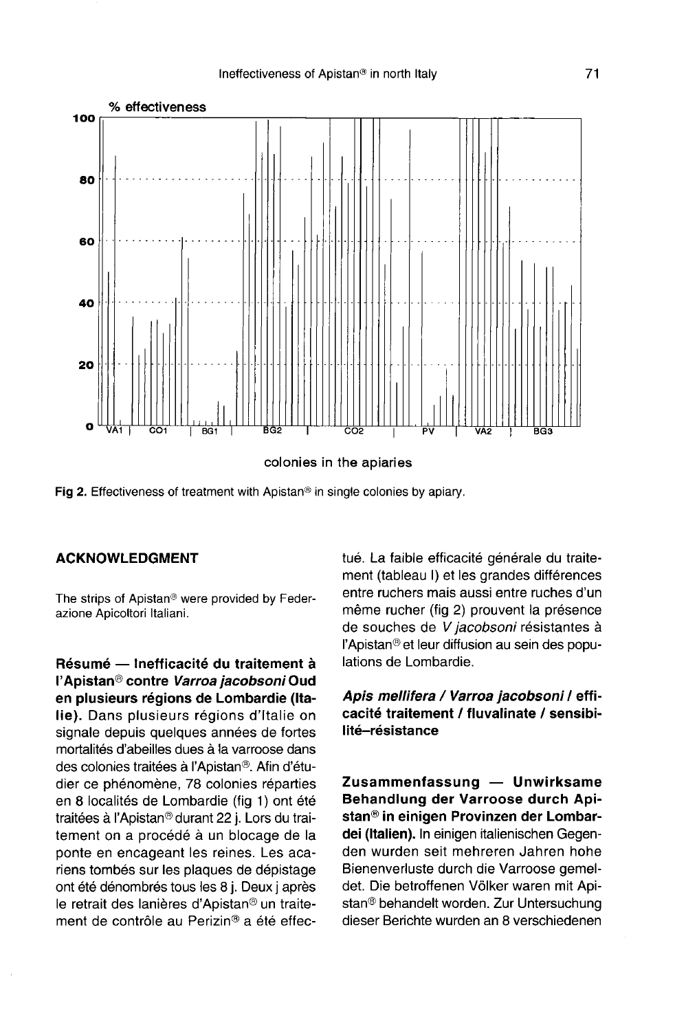

colonies in the apiaries

Fig 2. Effectiveness of treatment with Apistan<sup>®</sup> in single colonies by apiary.

# ACKNOWLEDGMENT

The strips of Apistan® were provided by Federazione Apicoltori Italiani.

Résumé — Inefficacité du traitement à l'Apistan® contre Varroa jacobsoni Oud en plusieurs régions de Lombardie (Italie). Dans plusieurs régions d'Italie on signale depuis quelques années de fortes mortalités d'abeilles dues à la varroose dans des colonies traitées à l'Apistan®. Afin d'étudier ce phénomène, 78 colonies réparties en 8 localités de Lombardie (fig 1) ont été traitées à l'Apistan® durant 22 j. Lors du traitement on a procédé à un blocage de la ponte en encageant les reines. Les acariens tombés sur les plaques de dépistage ont été dénombrés tous les 8 j. Deux j après le retrait des lanières d'Apistan® un traitement de contrôle au Perizin® a été effectué. La faible efficacité générale du traitement (tableau I) et les grandes différences entre ruchers mais aussi entre ruches d'un même rucher (fig 2) prouvent la présence de souches de V jacobsoni résistantes à l'Apistan® et leur diffusion au sein des populations de Lombardie.

Apis mellifera / Varroa jacobsoni / efficacité traitement / fluvalinate / sensibilité-résistance

Zusammenfassung — Unwirksame Behandlung der Varroose durch Apistan® in einigen Provinzen der Lombardei (Italien). In einigen italienischen Gegenden wurden seit mehreren Jahren hohe Bienenverluste durch die Varroose gemeldet. Die betroffenen Völker waren mit Apistan® behandelt worden. Zur Untersuchung dieser Berichte wurden an 8 verschiedenen